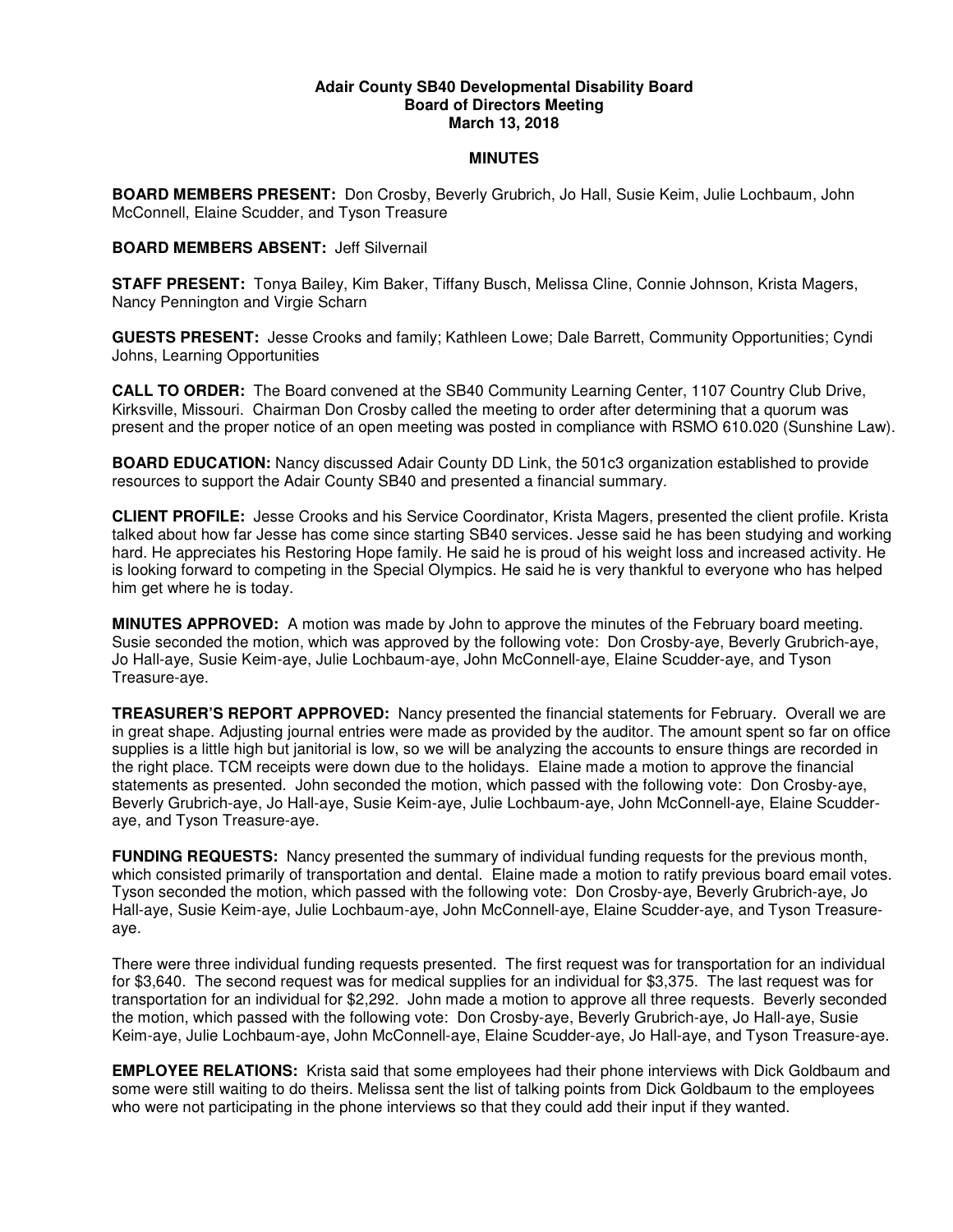## **Adair County SB40 Developmental Disability Board Board of Directors Meeting March 13, 2018**

## **MINUTES**

**BOARD MEMBERS PRESENT:** Don Crosby, Beverly Grubrich, Jo Hall, Susie Keim, Julie Lochbaum, John McConnell, Elaine Scudder, and Tyson Treasure

## **BOARD MEMBERS ABSENT:** Jeff Silvernail

**STAFF PRESENT:** Tonya Bailey, Kim Baker, Tiffany Busch, Melissa Cline, Connie Johnson, Krista Magers, Nancy Pennington and Virgie Scharn

**GUESTS PRESENT:** Jesse Crooks and family; Kathleen Lowe; Dale Barrett, Community Opportunities; Cyndi Johns, Learning Opportunities

**CALL TO ORDER:** The Board convened at the SB40 Community Learning Center, 1107 Country Club Drive, Kirksville, Missouri. Chairman Don Crosby called the meeting to order after determining that a quorum was present and the proper notice of an open meeting was posted in compliance with RSMO 610.020 (Sunshine Law).

**BOARD EDUCATION:** Nancy discussed Adair County DD Link, the 501c3 organization established to provide resources to support the Adair County SB40 and presented a financial summary.

**CLIENT PROFILE:** Jesse Crooks and his Service Coordinator, Krista Magers, presented the client profile. Krista talked about how far Jesse has come since starting SB40 services. Jesse said he has been studying and working hard. He appreciates his Restoring Hope family. He said he is proud of his weight loss and increased activity. He is looking forward to competing in the Special Olympics. He said he is very thankful to everyone who has helped him get where he is today.

**MINUTES APPROVED:** A motion was made by John to approve the minutes of the February board meeting. Susie seconded the motion, which was approved by the following vote: Don Crosby-aye, Beverly Grubrich-aye, Jo Hall-aye, Susie Keim-aye, Julie Lochbaum-aye, John McConnell-aye, Elaine Scudder-aye, and Tyson Treasure-aye.

**TREASURER'S REPORT APPROVED:** Nancy presented the financial statements for February. Overall we are in great shape. Adjusting journal entries were made as provided by the auditor. The amount spent so far on office supplies is a little high but janitorial is low, so we will be analyzing the accounts to ensure things are recorded in the right place. TCM receipts were down due to the holidays. Elaine made a motion to approve the financial statements as presented. John seconded the motion, which passed with the following vote: Don Crosby-aye, Beverly Grubrich-aye, Jo Hall-aye, Susie Keim-aye, Julie Lochbaum-aye, John McConnell-aye, Elaine Scudderaye, and Tyson Treasure-aye.

**FUNDING REQUESTS:** Nancy presented the summary of individual funding requests for the previous month, which consisted primarily of transportation and dental. Elaine made a motion to ratify previous board email votes. Tyson seconded the motion, which passed with the following vote: Don Crosby-aye, Beverly Grubrich-aye, Jo Hall-aye, Susie Keim-aye, Julie Lochbaum-aye, John McConnell-aye, Elaine Scudder-aye, and Tyson Treasureaye.

There were three individual funding requests presented. The first request was for transportation for an individual for \$3,640. The second request was for medical supplies for an individual for \$3,375. The last request was for transportation for an individual for \$2,292. John made a motion to approve all three requests. Beverly seconded the motion, which passed with the following vote: Don Crosby-aye, Beverly Grubrich-aye, Jo Hall-aye, Susie Keim-aye, Julie Lochbaum-aye, John McConnell-aye, Elaine Scudder-aye, Jo Hall-aye, and Tyson Treasure-aye.

**EMPLOYEE RELATIONS:** Krista said that some employees had their phone interviews with Dick Goldbaum and some were still waiting to do theirs. Melissa sent the list of talking points from Dick Goldbaum to the employees who were not participating in the phone interviews so that they could add their input if they wanted.